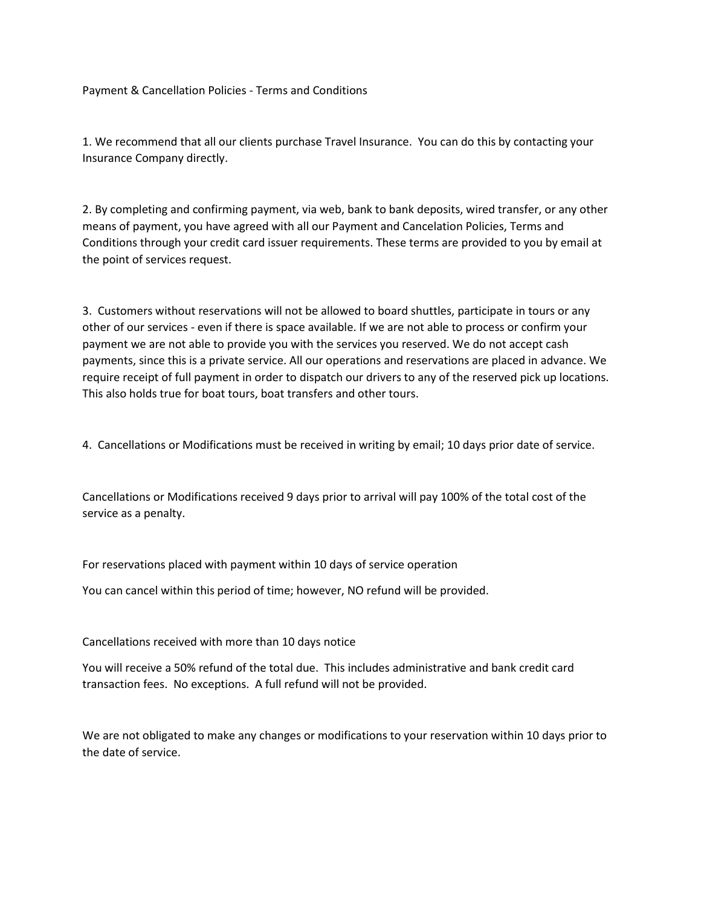Payment & Cancellation Policies - Terms and Conditions

1. We recommend that all our clients purchase Travel Insurance. You can do this by contacting your Insurance Company directly.

2. By completing and confirming payment, via web, bank to bank deposits, wired transfer, or any other means of payment, you have agreed with all our Payment and Cancelation Policies, Terms and Conditions through your credit card issuer requirements. These terms are provided to you by email at the point of services request.

3. Customers without reservations will not be allowed to board shuttles, participate in tours or any other of our services - even if there is space available. If we are not able to process or confirm your payment we are not able to provide you with the services you reserved. We do not accept cash payments, since this is a private service. All our operations and reservations are placed in advance. We require receipt of full payment in order to dispatch our drivers to any of the reserved pick up locations. This also holds true for boat tours, boat transfers and other tours.

4. Cancellations or Modifications must be received in writing by email; 10 days prior date of service.

Cancellations or Modifications received 9 days prior to arrival will pay 100% of the total cost of the service as a penalty.

For reservations placed with payment within 10 days of service operation

You can cancel within this period of time; however, NO refund will be provided.

Cancellations received with more than 10 days notice

You will receive a 50% refund of the total due. This includes administrative and bank credit card transaction fees. No exceptions. A full refund will not be provided.

We are not obligated to make any changes or modifications to your reservation within 10 days prior to the date of service.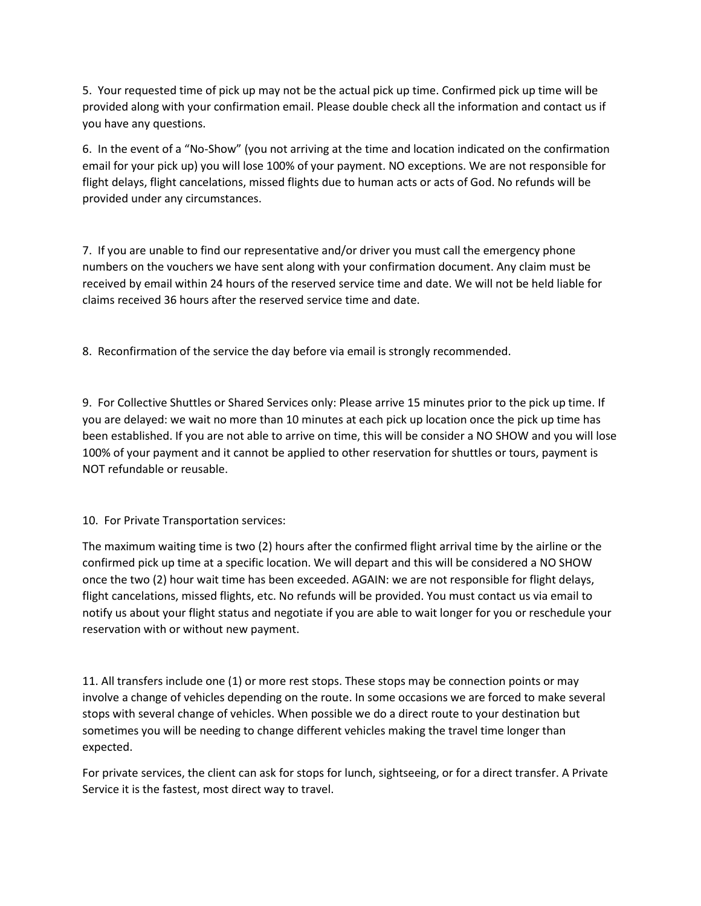5. Your requested time of pick up may not be the actual pick up time. Confirmed pick up time will be provided along with your confirmation email. Please double check all the information and contact us if you have any questions.

6. In the event of a "No-Show" (you not arriving at the time and location indicated on the confirmation email for your pick up) you will lose 100% of your payment. NO exceptions. We are not responsible for flight delays, flight cancelations, missed flights due to human acts or acts of God. No refunds will be provided under any circumstances.

7. If you are unable to find our representative and/or driver you must call the emergency phone numbers on the vouchers we have sent along with your confirmation document. Any claim must be received by email within 24 hours of the reserved service time and date. We will not be held liable for claims received 36 hours after the reserved service time and date.

8. Reconfirmation of the service the day before via email is strongly recommended.

9. For Collective Shuttles or Shared Services only: Please arrive 15 minutes prior to the pick up time. If you are delayed: we wait no more than 10 minutes at each pick up location once the pick up time has been established. If you are not able to arrive on time, this will be consider a NO SHOW and you will lose 100% of your payment and it cannot be applied to other reservation for shuttles or tours, payment is NOT refundable or reusable.

10. For Private Transportation services:

The maximum waiting time is two (2) hours after the confirmed flight arrival time by the airline or the confirmed pick up time at a specific location. We will depart and this will be considered a NO SHOW once the two (2) hour wait time has been exceeded. AGAIN: we are not responsible for flight delays, flight cancelations, missed flights, etc. No refunds will be provided. You must contact us via email to notify us about your flight status and negotiate if you are able to wait longer for you or reschedule your reservation with or without new payment.

11. All transfers include one (1) or more rest stops. These stops may be connection points or may involve a change of vehicles depending on the route. In some occasions we are forced to make several stops with several change of vehicles. When possible we do a direct route to your destination but sometimes you will be needing to change different vehicles making the travel time longer than expected.

For private services, the client can ask for stops for lunch, sightseeing, or for a direct transfer. A Private Service it is the fastest, most direct way to travel.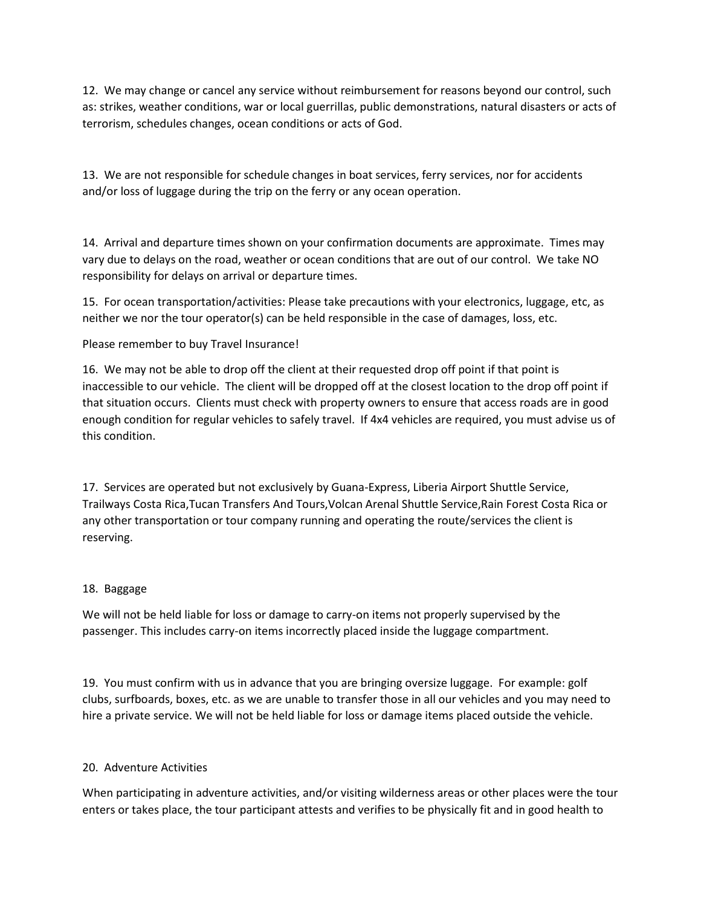12. We may change or cancel any service without reimbursement for reasons beyond our control, such as: strikes, weather conditions, war or local guerrillas, public demonstrations, natural disasters or acts of terrorism, schedules changes, ocean conditions or acts of God.

13. We are not responsible for schedule changes in boat services, ferry services, nor for accidents and/or loss of luggage during the trip on the ferry or any ocean operation.

14. Arrival and departure times shown on your confirmation documents are approximate. Times may vary due to delays on the road, weather or ocean conditions that are out of our control. We take NO responsibility for delays on arrival or departure times.

15. For ocean transportation/activities: Please take precautions with your electronics, luggage, etc, as neither we nor the tour operator(s) can be held responsible in the case of damages, loss, etc.

## Please remember to buy Travel Insurance!

16. We may not be able to drop off the client at their requested drop off point if that point is inaccessible to our vehicle. The client will be dropped off at the closest location to the drop off point if that situation occurs. Clients must check with property owners to ensure that access roads are in good enough condition for regular vehicles to safely travel. If 4x4 vehicles are required, you must advise us of this condition.

17. Services are operated but not exclusively by Guana-Express, Liberia Airport Shuttle Service, Trailways Costa Rica,Tucan Transfers And Tours,Volcan Arenal Shuttle Service,Rain Forest Costa Rica or any other transportation or tour company running and operating the route/services the client is reserving.

## 18. Baggage

We will not be held liable for loss or damage to carry-on items not properly supervised by the passenger. This includes carry-on items incorrectly placed inside the luggage compartment.

19. You must confirm with us in advance that you are bringing oversize luggage. For example: golf clubs, surfboards, boxes, etc. as we are unable to transfer those in all our vehicles and you may need to hire a private service. We will not be held liable for loss or damage items placed outside the vehicle.

## 20. Adventure Activities

When participating in adventure activities, and/or visiting wilderness areas or other places were the tour enters or takes place, the tour participant attests and verifies to be physically fit and in good health to